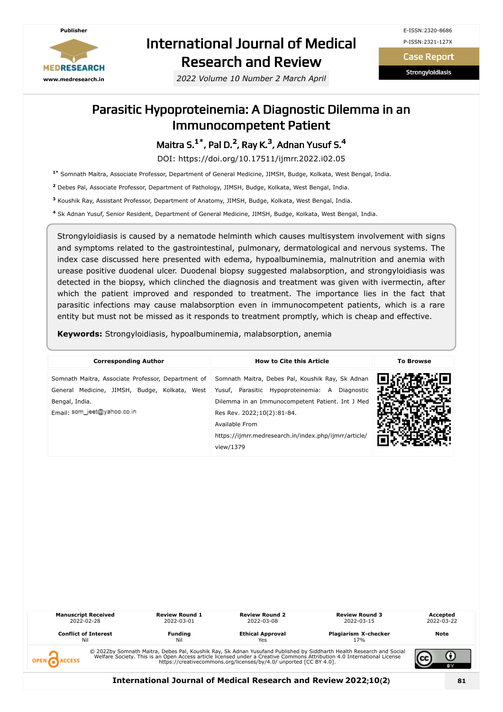

# International Journal of Medical Research and Review

*2022 Volume 10 Number 2 March April*

Case Report

**Strongyloidiasis** 

### Parasitic Hypoproteinemia: A Diagnostic Dilemma in an Immunocompetent Patient

Maitra S. **1\*** , Pal D. **2** , Ray K. **3** , Adnan Yusuf S. **4**

DOI: https://doi.org/10.17511/ijmrr.2022.i02.05

**1\*** Somnath Maitra, Associate Professor, Department of General Medicine, JIMSH, Budge, Kolkata, West Bengal, India.

**2** Debes Pal, Associate Professor, Department of Pathology, JIMSH, Budge, Kolkata, West Bengal, India.

**3** Koushik Ray, Assistant Professor, Department of Anatomy, JIMSH, Budge, Kolkata, West Bengal, India.

**4** Sk Adnan Yusuf, Senior Resident, Department of General Medicine, JIMSH, Budge, Kolkata, West Bengal, India.

Strongyloidiasis is caused by a nematode helminth which causes multisystem involvement with signs and symptoms related to the gastrointestinal, pulmonary, dermatological and nervous systems. The index case discussed here presented with edema, hypoalbuminemia, malnutrition and anemia with urease positive duodenal ulcer. Duodenal biopsy suggested malabsorption, and strongyloidiasis was detected in the biopsy, which clinched the diagnosis and treatment was given with ivermectin, after which the patient improved and responded to treatment. The importance lies in the fact that parasitic infections may cause malabsorption even in immunocompetent patients, which is a rare entity but must not be missed as it responds to treatment promptly, which is cheap and effective.

**Keywords:** Strongyloidiasis, hypoalbuminemia, malabsorption, anemia

| <b>Corresponding Author</b>                                                                                                                          | <b>How to Cite this Article</b>                                                                                                                                                                                                                                              | <b>To Browse</b> |
|------------------------------------------------------------------------------------------------------------------------------------------------------|------------------------------------------------------------------------------------------------------------------------------------------------------------------------------------------------------------------------------------------------------------------------------|------------------|
| Somnath Maitra, Associate Professor, Department of<br>General Medicine, JIMSH, Budge, Kolkata, West<br>Bengal, India.<br>Email: som_jeet@yahoo.co.in | Somnath Maitra, Debes Pal, Koushik Ray, Sk Adnan<br>Yusuf, Parasitic Hypoproteinemia: A Diagnostic<br>Dilemma in an Immunocompetent Patient. Int J Med<br>Res Rev. 2022;10(2):81-84.<br>Available From<br>https://ijmrr.medresearch.in/index.php/ijmrr/article/<br>view/1379 |                  |

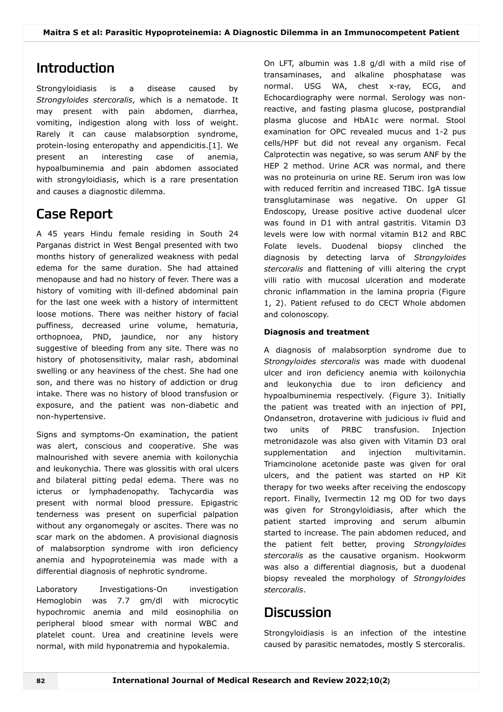# Introduction

Strongyloidiasis is a disease caused by *Strongyloides stercoralis*, which is a nematode. It may present with pain abdomen, diarrhea, vomiting, indigestion along with loss of weight. Rarely it can cause malabsorption syndrome, protein-losing enteropathy and appendicitis.[1]. We present an interesting case of anemia, hypoalbuminemia and pain abdomen associated with strongyloidiasis, which is a rare presentation and causes a diagnostic dilemma.

# Case Report

A 45 years Hindu female residing in South 24 Parganas district in West Bengal presented with two months history of generalized weakness with pedal edema for the same duration. She had attained menopause and had no history of fever. There was a history of vomiting with ill-defined abdominal pain for the last one week with a history of intermittent loose motions. There was neither history of facial puffiness, decreased urine volume, hematuria, orthopnoea, PND, jaundice, nor any history suggestive of bleeding from any site. There was no history of photosensitivity, malar rash, abdominal swelling or any heaviness of the chest. She had one son, and there was no history of addiction or drug intake. There was no history of blood transfusion or exposure, and the patient was non-diabetic and non-hypertensive.

Signs and symptoms-On examination, the patient was alert, conscious and cooperative. She was malnourished with severe anemia with koilonychia and leukonychia. There was glossitis with oral ulcers and bilateral pitting pedal edema. There was no icterus or lymphadenopathy. Tachycardia was present with normal blood pressure. Epigastric tenderness was present on superficial palpation without any organomegaly or ascites. There was no scar mark on the abdomen. A provisional diagnosis of malabsorption syndrome with iron deficiency anemia and hypoproteinemia was made with a differential diagnosis of nephrotic syndrome.

Laboratory Investigations-On investigation Hemoglobin was 7.7 gm/dl with microcytic hypochromic anemia and mild eosinophilia on peripheral blood smear with normal WBC and platelet count. Urea and creatinine levels were normal, with mild hyponatremia and hypokalemia.

On LFT, albumin was 1.8 g/dl with a mild rise of transaminases, and alkaline phosphatase was normal. USG WA, chest x-ray, ECG, and Echocardiography were normal. Serology was nonreactive, and fasting plasma glucose, postprandial plasma glucose and HbA1c were normal. Stool examination for OPC revealed mucus and 1-2 pus cells/HPF but did not reveal any organism. Fecal Calprotectin was negative, so was serum ANF by the HEP 2 method. Urine ACR was normal, and there was no proteinuria on urine RE. Serum iron was low with reduced ferritin and increased TIBC. IgA tissue transglutaminase was negative. On upper GI Endoscopy, Urease positive active duodenal ulcer was found in D1 with antral gastritis. Vitamin D3 levels were low with normal vitamin B12 and RBC Folate levels. Duodenal biopsy clinched the diagnosis by detecting larva of *Strongyloides stercoralis* and flattening of villi altering the crypt villi ratio with mucosal ulceration and moderate chronic inflammation in the lamina propria (Figure 1, 2). Patient refused to do CECT Whole abdomen and colonoscopy.

#### **Diagnosis and treatment**

A diagnosis of malabsorption syndrome due to *Strongyloides stercoralis* was made with duodenal ulcer and iron deficiency anemia with koilonychia and leukonychia due to iron deficiency and hypoalbuminemia respectively. (Figure 3). Initially the patient was treated with an injection of PPI, Ondansetron, drotaverine with judicious iv fluid and two units of PRBC transfusion. Injection metronidazole was also given with Vitamin D3 oral supplementation and injection multivitamin. Triamcinolone acetonide paste was given for oral ulcers, and the patient was started on HP Kit therapy for two weeks after receiving the endoscopy report. Finally, Ivermectin 12 mg OD for two days was given for Strongyloidiasis, after which the patient started improving and serum albumin started to increase. The pain abdomen reduced, and the patient felt better, proving *Strongyloides stercoralis* as the causative organism. Hookworm was also a differential diagnosis, but a duodenal biopsy revealed the morphology of *Strongyloides stercoralis*.

## **Discussion**

Strongyloidiasis is an infection of the intestine caused by parasitic nematodes, mostly S stercoralis.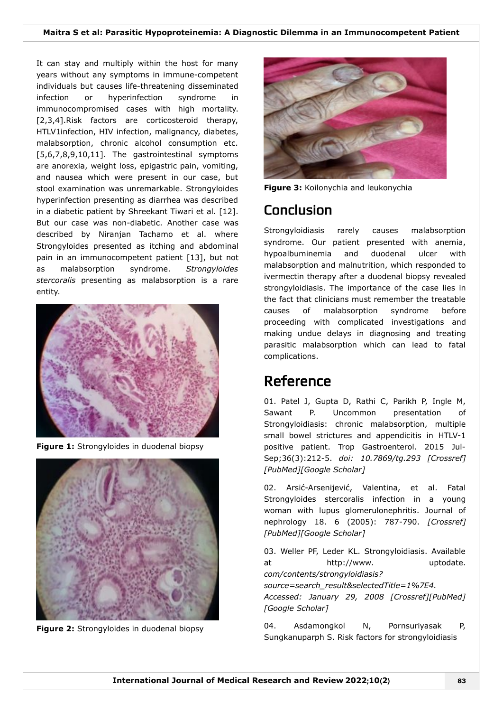It can stay and multiply within the host for many years without any symptoms in immune-competent individuals but causes life-threatening disseminated infection or hyperinfection syndrome in immunocompromised cases with high mortality. [2,3,4].Risk factors are corticosteroid therapy, HTLV1infection, HIV infection, malignancy, diabetes, malabsorption, chronic alcohol consumption etc. [5,6,7,8,9,10,11]. The gastrointestinal symptoms are anorexia, weight loss, epigastric pain, vomiting, and nausea which were present in our case, but stool examination was unremarkable. Strongyloides hyperinfection presenting as diarrhea was described in a diabetic patient by Shreekant Tiwari et al. [12]. But our case was non-diabetic. Another case was described by Niranjan Tachamo et al. where Strongyloides presented as itching and abdominal pain in an immunocompetent patient [13], but not as malabsorption syndrome. *Strongyloides stercoralis* presenting as malabsorption is a rare entity.



**Figure 1:** Strongyloides in duodenal biopsy



**Figure 2:** Strongyloides in duodenal biopsy



**Figure 3:** Koilonychia and leukonychia

# Conclusion

Strongyloidiasis rarely causes malabsorption syndrome. Our patient presented with anemia, hypoalbuminemia and duodenal ulcer with malabsorption and malnutrition, which responded to ivermectin therapy after a duodenal biopsy revealed strongyloidiasis. The importance of the case lies in the fact that clinicians must remember the treatable causes of malabsorption syndrome before proceeding with complicated investigations and making undue delays in diagnosing and treating parasitic malabsorption which can lead to fatal complications.

# Reference

01. Patel J, Gupta D, Rathi C, Parikh P, Ingle M, Sawant P. Uncommon presentation of Strongyloidiasis: chronic malabsorption, multiple small bowel strictures and appendicitis in HTLV-1 positive patient. Trop Gastroenterol. 2015 Jul-Sep;36(3):212-5. *doi: 10.7869/tg.293 [\[Crossref\]](https://doi.org/10.7869/tg.293) [[PubMed\]](https://www.ncbi.nlm.nih.gov/pubmed/?term=Uncommon%20presentation%20of%20Strongyloidiasis:%20chronic%20malabsorption,%20multiple%20small%20bowel%20strictures%20and%20appendicitis%20in%20HTLV-1%20positive%20patient)[\[Google Scholar](https://scholar.google.com/scholar_lookup?title=Uncommon%20presentation%20of%20Strongyloidiasis:%20chronic%20malabsorption,%20multiple%20small%20bowel%20strictures%20and%20appendicitis%20in%20HTLV-1%20positive%20patient)]*

02. Arsić-Arsenijević, Valentina, et al. Fatal Strongyloides stercoralis infection in a young woman with lupus glomerulonephritis. Journal of nephrology 18. 6 (2005): 787-790. *[\[Crossref\]](https://search.crossref.org/?type-name=Journal+Article&q=Fatal%20Strongyloides%20stercoralis%20infection%20in%20a%20young%20woman%20with%20lupus%20glomerulonephritis) [[PubMed\]](https://www.ncbi.nlm.nih.gov/pubmed/?term=Fatal%20Strongyloides%20stercoralis%20infection%20in%20a%20young%20woman%20with%20lupus%20glomerulonephritis)[\[Google Scholar](https://scholar.google.com/scholar_lookup?title=Fatal%20Strongyloides%20stercoralis%20infection%20in%20a%20young%20woman%20with%20lupus%20glomerulonephritis)]*

03. Weller PF, Leder KL. Strongyloidiasis. Available at http://www. uptodate. *com/contents/strongyloidiasis?*

*source=search\_result&selectedTitle=1%7E4.*

*Accessed: January 29, 2008 [[Crossref](https://search.crossref.org/?type-name=Journal+Article&q=Strongyloidiasis)][[PubMed](https://www.ncbi.nlm.nih.gov/pubmed/?term=Strongyloidiasis)] [[Google Scholar\]](https://scholar.google.com/scholar_lookup?title=Strongyloidiasis)*

04. Asdamongkol N, Pornsuriyasak P, Sungkanuparph S. Risk factors for strongyloidiasis